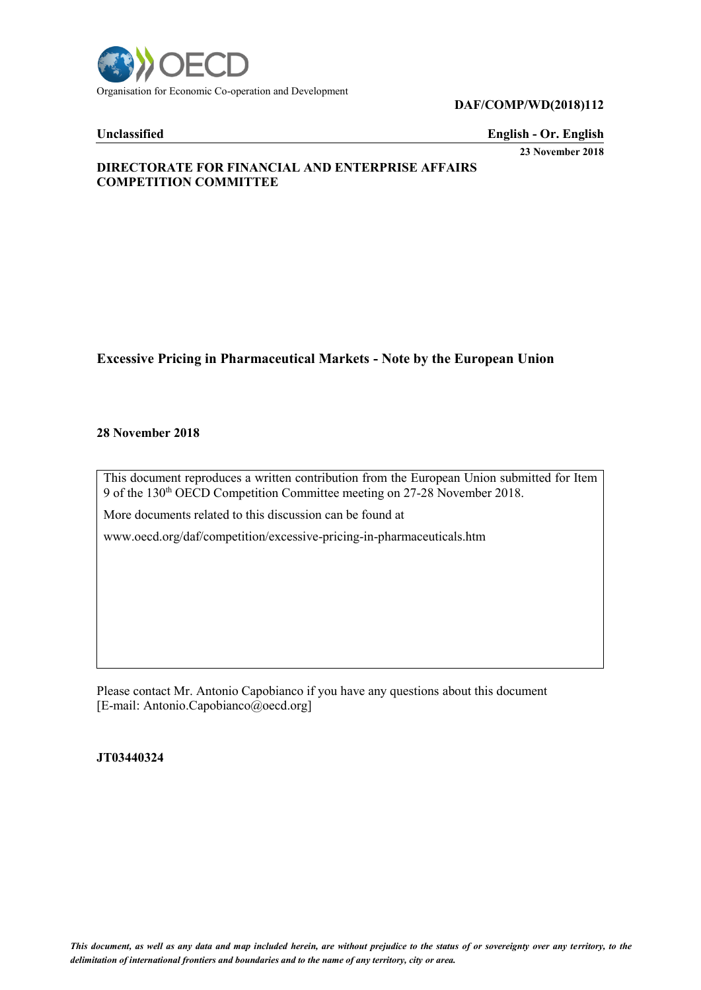

### **DAF/COMP/WD(2018)112**

**Unclassified English - Or. English 23 November 2018**

# **DIRECTORATE FOR FINANCIAL AND ENTERPRISE AFFAIRS COMPETITION COMMITTEE**

# **Excessive Pricing in Pharmaceutical Markets - Note by the European Union**

#### **28 November 2018**

This document reproduces a written contribution from the European Union submitted for Item 9 of the 130<sup>th</sup> OECD Competition Committee meeting on 27-28 November 2018.

More documents related to this discussion can be found at

www.oecd.org/daf/competition/excessive-pricing-in-pharmaceuticals.htm

Please contact Mr. Antonio Capobianco if you have any questions about this document [E-mail: Antonio.Capobianco@oecd.org]

**JT03440324**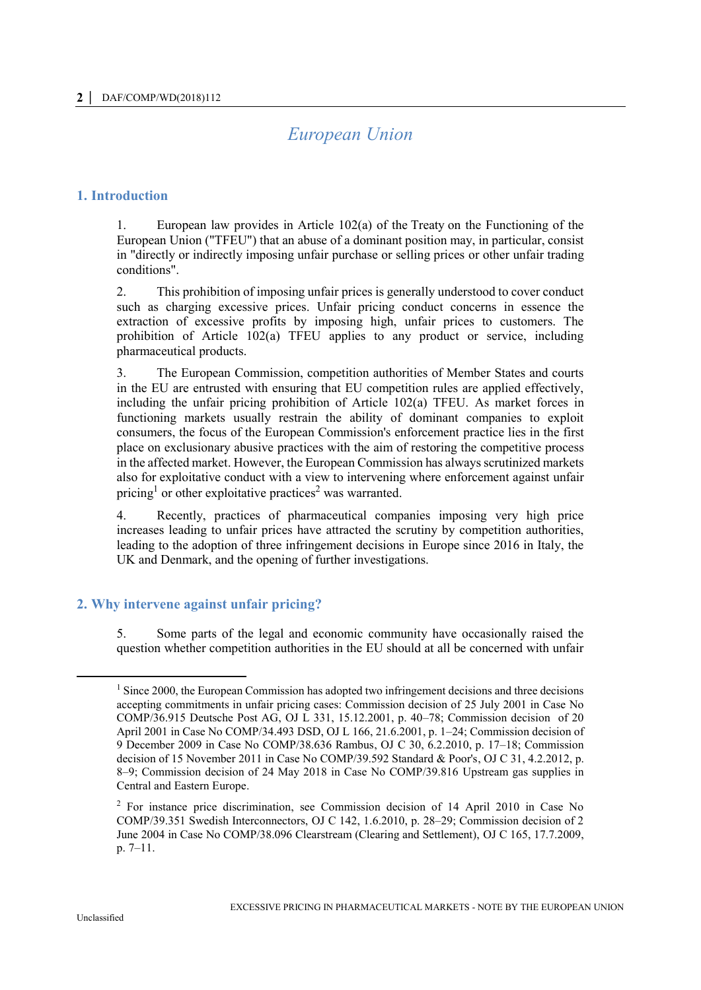# *European Union*

### **1. Introduction**

1. European law provides in Article 102(a) of the Treaty on the Functioning of the European Union ("TFEU") that an abuse of a dominant position may, in particular, consist in "directly or indirectly imposing unfair purchase or selling prices or other unfair trading conditions".

2. This prohibition of imposing unfair prices is generally understood to cover conduct such as charging excessive prices. Unfair pricing conduct concerns in essence the extraction of excessive profits by imposing high, unfair prices to customers. The prohibition of Article 102(a) TFEU applies to any product or service, including pharmaceutical products.

3. The European Commission, competition authorities of Member States and courts in the EU are entrusted with ensuring that EU competition rules are applied effectively, including the unfair pricing prohibition of Article 102(a) TFEU. As market forces in functioning markets usually restrain the ability of dominant companies to exploit consumers, the focus of the European Commission's enforcement practice lies in the first place on exclusionary abusive practices with the aim of restoring the competitive process in the affected market. However, the European Commission has always scrutinized markets also for exploitative conduct with a view to intervening where enforcement against unfair pricing<sup>1</sup> or other exploitative practices<sup>2</sup> was warranted.

4. Recently, practices of pharmaceutical companies imposing very high price increases leading to unfair prices have attracted the scrutiny by competition authorities, leading to the adoption of three infringement decisions in Europe since 2016 in Italy, the UK and Denmark, and the opening of further investigations.

# **2. Why intervene against unfair pricing?**

5. Some parts of the legal and economic community have occasionally raised the question whether competition authorities in the EU should at all be concerned with unfair

<sup>&</sup>lt;sup>1</sup> Since 2000, the European Commission has adopted two infringement decisions and three decisions accepting commitments in unfair pricing cases: Commission decision of 25 July 2001 in Case No COMP/36.915 Deutsche Post AG, OJ L 331, 15.12.2001, p. 40–78; Commission decision of 20 April 2001 in Case No COMP/34.493 DSD, OJ L 166, 21.6.2001, p. 1–24; Commission decision of 9 December 2009 in Case No COMP/38.636 Rambus, OJ C 30, 6.2.2010, p. 17–18; Commission decision of 15 November 2011 in Case No COMP/39.592 Standard & Poor's, OJ C 31, 4.2.2012, p. 8–9; Commission decision of 24 May 2018 in Case No COMP/39.816 Upstream gas supplies in Central and Eastern Europe.

<sup>2</sup> For instance price discrimination, see Commission decision of 14 April 2010 in Case No COMP/39.351 Swedish Interconnectors, OJ C 142, 1.6.2010, p. 28–29; Commission decision of 2 June 2004 in Case No COMP/38.096 Clearstream (Clearing and Settlement), OJ C 165, 17.7.2009, p. 7–11.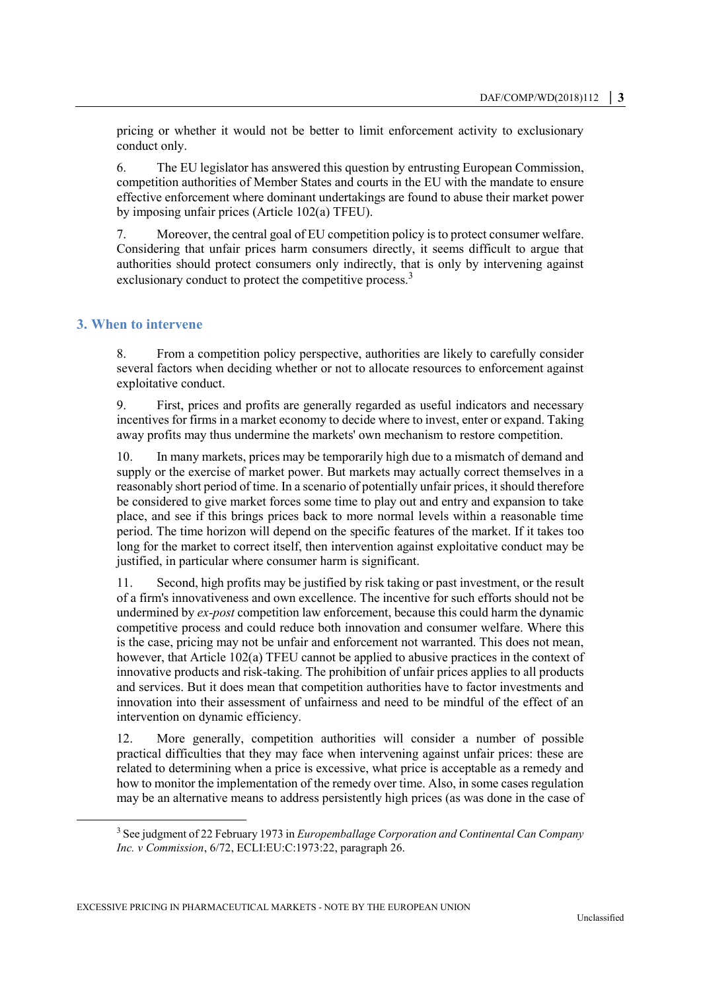pricing or whether it would not be better to limit enforcement activity to exclusionary conduct only.

6. The EU legislator has answered this question by entrusting European Commission, competition authorities of Member States and courts in the EU with the mandate to ensure effective enforcement where dominant undertakings are found to abuse their market power by imposing unfair prices (Article 102(a) TFEU).

7. Moreover, the central goal of EU competition policy is to protect consumer welfare. Considering that unfair prices harm consumers directly, it seems difficult to argue that authorities should protect consumers only indirectly, that is only by intervening against exclusionary conduct to protect the competitive process.<sup>3</sup>

# **3. When to intervene**

8. From a competition policy perspective, authorities are likely to carefully consider several factors when deciding whether or not to allocate resources to enforcement against exploitative conduct.

9. First, prices and profits are generally regarded as useful indicators and necessary incentives for firms in a market economy to decide where to invest, enter or expand. Taking away profits may thus undermine the markets' own mechanism to restore competition.

10. In many markets, prices may be temporarily high due to a mismatch of demand and supply or the exercise of market power. But markets may actually correct themselves in a reasonably short period of time. In a scenario of potentially unfair prices, it should therefore be considered to give market forces some time to play out and entry and expansion to take place, and see if this brings prices back to more normal levels within a reasonable time period. The time horizon will depend on the specific features of the market. If it takes too long for the market to correct itself, then intervention against exploitative conduct may be justified, in particular where consumer harm is significant.

11. Second, high profits may be justified by risk taking or past investment, or the result of a firm's innovativeness and own excellence. The incentive for such efforts should not be undermined by *ex-post* competition law enforcement, because this could harm the dynamic competitive process and could reduce both innovation and consumer welfare. Where this is the case, pricing may not be unfair and enforcement not warranted. This does not mean, however, that Article 102(a) TFEU cannot be applied to abusive practices in the context of innovative products and risk-taking. The prohibition of unfair prices applies to all products and services. But it does mean that competition authorities have to factor investments and innovation into their assessment of unfairness and need to be mindful of the effect of an intervention on dynamic efficiency.

12. More generally, competition authorities will consider a number of possible practical difficulties that they may face when intervening against unfair prices: these are related to determining when a price is excessive, what price is acceptable as a remedy and how to monitor the implementation of the remedy over time. Also, in some cases regulation may be an alternative means to address persistently high prices (as was done in the case of

<sup>3</sup> See judgment of 22 February 1973 in *Europemballage Corporation and Continental Can Company Inc. v Commission*, 6/72, ECLI:EU:C:1973:22, paragraph 26.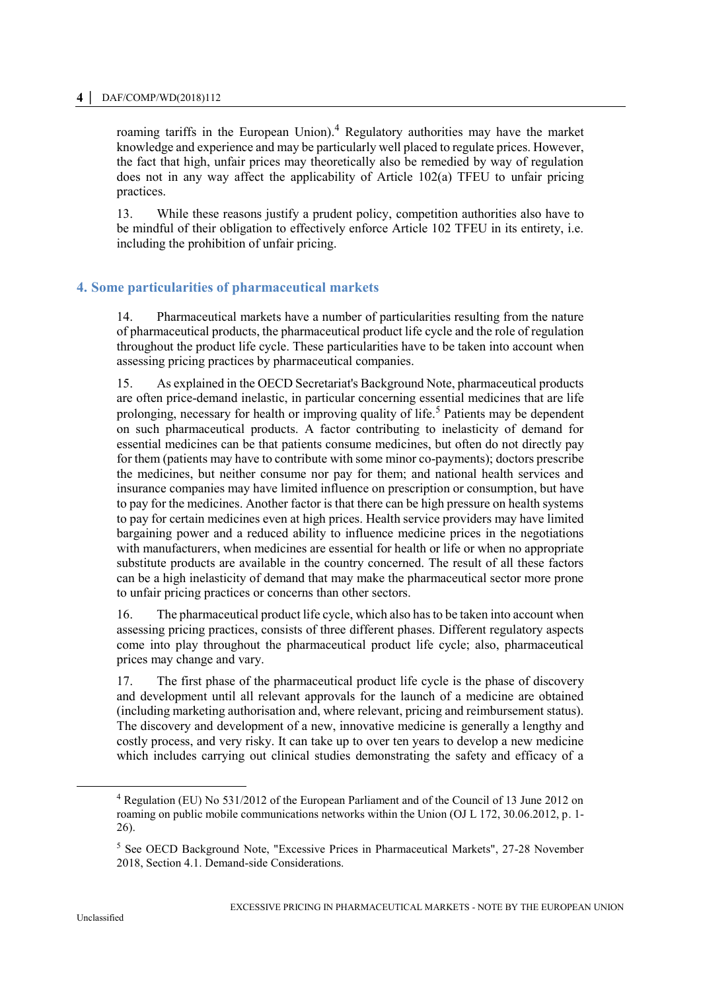#### **4 │** DAF/COMP/WD(2018)112

roaming tariffs in the European Union).<sup>4</sup> Regulatory authorities may have the market knowledge and experience and may be particularly well placed to regulate prices. However, the fact that high, unfair prices may theoretically also be remedied by way of regulation does not in any way affect the applicability of Article 102(a) TFEU to unfair pricing practices.

13. While these reasons justify a prudent policy, competition authorities also have to be mindful of their obligation to effectively enforce Article 102 TFEU in its entirety, i.e. including the prohibition of unfair pricing.

# **4. Some particularities of pharmaceutical markets**

14. Pharmaceutical markets have a number of particularities resulting from the nature of pharmaceutical products, the pharmaceutical product life cycle and the role of regulation throughout the product life cycle. These particularities have to be taken into account when assessing pricing practices by pharmaceutical companies.

15. As explained in the OECD Secretariat's Background Note, pharmaceutical products are often price-demand inelastic, in particular concerning essential medicines that are life prolonging, necessary for health or improving quality of life.<sup>5</sup> Patients may be dependent on such pharmaceutical products. A factor contributing to inelasticity of demand for essential medicines can be that patients consume medicines, but often do not directly pay for them (patients may have to contribute with some minor co-payments); doctors prescribe the medicines, but neither consume nor pay for them; and national health services and insurance companies may have limited influence on prescription or consumption, but have to pay for the medicines. Another factor is that there can be high pressure on health systems to pay for certain medicines even at high prices. Health service providers may have limited bargaining power and a reduced ability to influence medicine prices in the negotiations with manufacturers, when medicines are essential for health or life or when no appropriate substitute products are available in the country concerned. The result of all these factors can be a high inelasticity of demand that may make the pharmaceutical sector more prone to unfair pricing practices or concerns than other sectors.

16. The pharmaceutical product life cycle, which also has to be taken into account when assessing pricing practices, consists of three different phases. Different regulatory aspects come into play throughout the pharmaceutical product life cycle; also, pharmaceutical prices may change and vary.

17. The first phase of the pharmaceutical product life cycle is the phase of discovery and development until all relevant approvals for the launch of a medicine are obtained (including marketing authorisation and, where relevant, pricing and reimbursement status). The discovery and development of a new, innovative medicine is generally a lengthy and costly process, and very risky. It can take up to over ten years to develop a new medicine which includes carrying out clinical studies demonstrating the safety and efficacy of a

<sup>4</sup> Regulation (EU) No 531/2012 of the European Parliament and of the Council of 13 June 2012 on roaming on public mobile communications networks within the Union (OJ L 172, 30.06.2012, p. 1-26).

<sup>5</sup> See OECD Background Note, "Excessive Prices in Pharmaceutical Markets", 27-28 November 2018, Section 4.1. Demand-side Considerations.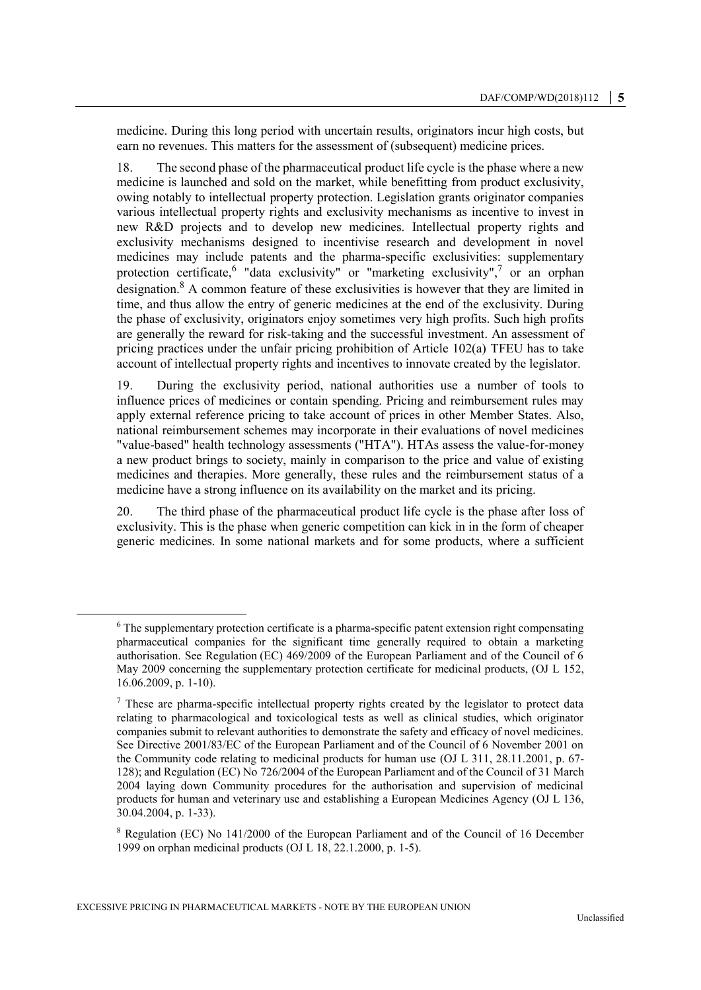medicine. During this long period with uncertain results, originators incur high costs, but earn no revenues. This matters for the assessment of (subsequent) medicine prices.

18. The second phase of the pharmaceutical product life cycle is the phase where a new medicine is launched and sold on the market, while benefitting from product exclusivity, owing notably to intellectual property protection. Legislation grants originator companies various intellectual property rights and exclusivity mechanisms as incentive to invest in new R&D projects and to develop new medicines. Intellectual property rights and exclusivity mechanisms designed to incentivise research and development in novel medicines may include patents and the pharma-specific exclusivities: supplementary protection certificate, <sup>6</sup> "data exclusivity" or "marketing exclusivity",<sup>7</sup> or an orphan designation.<sup>8</sup> A common feature of these exclusivities is however that they are limited in time, and thus allow the entry of generic medicines at the end of the exclusivity. During the phase of exclusivity, originators enjoy sometimes very high profits. Such high profits are generally the reward for risk-taking and the successful investment. An assessment of pricing practices under the unfair pricing prohibition of Article 102(a) TFEU has to take account of intellectual property rights and incentives to innovate created by the legislator.

19. During the exclusivity period, national authorities use a number of tools to influence prices of medicines or contain spending. Pricing and reimbursement rules may apply external reference pricing to take account of prices in other Member States. Also, national reimbursement schemes may incorporate in their evaluations of novel medicines "value-based" health technology assessments ("HTA"). HTAs assess the value-for-money a new product brings to society, mainly in comparison to the price and value of existing medicines and therapies. More generally, these rules and the reimbursement status of a medicine have a strong influence on its availability on the market and its pricing.

20. The third phase of the pharmaceutical product life cycle is the phase after loss of exclusivity. This is the phase when generic competition can kick in in the form of cheaper generic medicines. In some national markets and for some products, where a sufficient

<sup>&</sup>lt;sup>6</sup> The supplementary protection certificate is a pharma-specific patent extension right compensating pharmaceutical companies for the significant time generally required to obtain a marketing authorisation. See Regulation (EC) 469/2009 of the European Parliament and of the Council of 6 May 2009 concerning the supplementary protection certificate for medicinal products, (OJ L 152, 16.06.2009, p. 1-10).

<sup>&</sup>lt;sup>7</sup> These are pharma-specific intellectual property rights created by the legislator to protect data relating to pharmacological and toxicological tests as well as clinical studies, which originator companies submit to relevant authorities to demonstrate the safety and efficacy of novel medicines. See Directive 2001/83/EC of the European Parliament and of the Council of 6 November 2001 on the Community code relating to medicinal products for human use (OJ L 311, 28.11.2001, p. 67- 128); and Regulation (EC) No 726/2004 of the European Parliament and of the Council of 31 March 2004 laying down Community procedures for the authorisation and supervision of medicinal products for human and veterinary use and establishing a European Medicines Agency (OJ L 136, 30.04.2004, p. 1-33).

<sup>8</sup> Regulation (EC) No 141/2000 of the European Parliament and of the Council of 16 December 1999 on orphan medicinal products (OJ L 18, 22.1.2000, p. 1-5).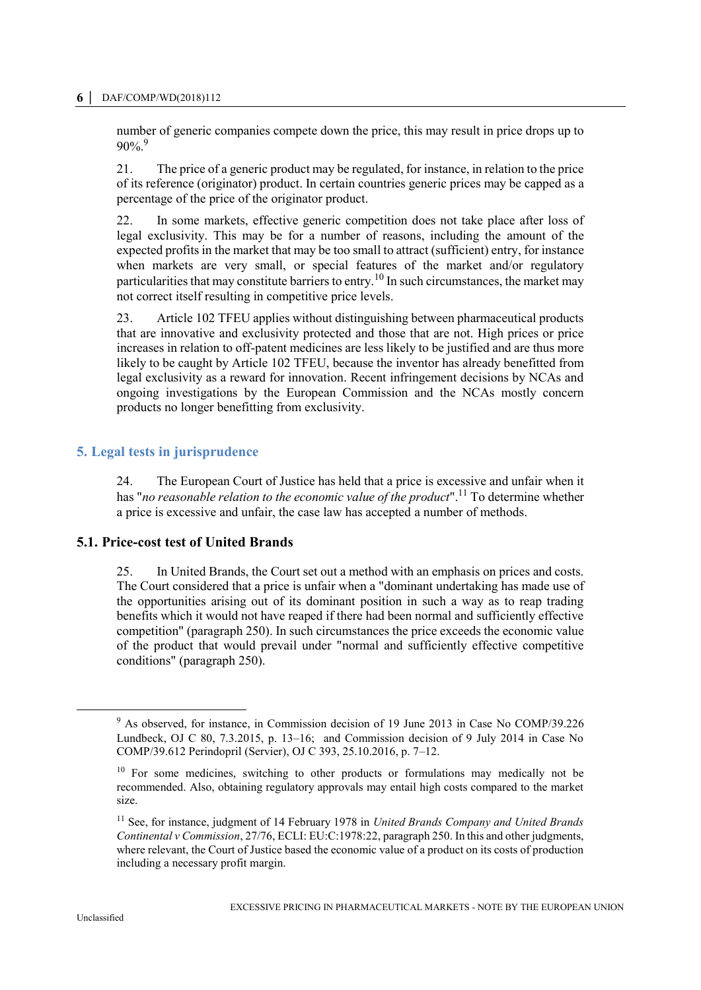#### **6 │** DAF/COMP/WD(2018)112

number of generic companies compete down the price, this may result in price drops up to  $90\%$ <sup>9</sup>

21. The price of a generic product may be regulated, for instance, in relation to the price of its reference (originator) product. In certain countries generic prices may be capped as a percentage of the price of the originator product.

22. In some markets, effective generic competition does not take place after loss of legal exclusivity. This may be for a number of reasons, including the amount of the expected profits in the market that may be too small to attract (sufficient) entry, for instance when markets are very small, or special features of the market and/or regulatory particularities that may constitute barriers to entry.<sup>10</sup> In such circumstances, the market may not correct itself resulting in competitive price levels.

23. Article 102 TFEU applies without distinguishing between pharmaceutical products that are innovative and exclusivity protected and those that are not. High prices or price increases in relation to off-patent medicines are less likely to be justified and are thus more likely to be caught by Article 102 TFEU, because the inventor has already benefitted from legal exclusivity as a reward for innovation. Recent infringement decisions by NCAs and ongoing investigations by the European Commission and the NCAs mostly concern products no longer benefitting from exclusivity.

# **5. Legal tests in jurisprudence**

24. The European Court of Justice has held that a price is excessive and unfair when it has "no reasonable relation to the economic value of the product".<sup>11</sup> To determine whether a price is excessive and unfair, the case law has accepted a number of methods.

#### **5.1. Price-cost test of United Brands**

25. In United Brands, the Court set out a method with an emphasis on prices and costs. The Court considered that a price is unfair when a "dominant undertaking has made use of the opportunities arising out of its dominant position in such a way as to reap trading benefits which it would not have reaped if there had been normal and sufficiently effective competition" (paragraph 250). In such circumstances the price exceeds the economic value of the product that would prevail under "normal and sufficiently effective competitive conditions" (paragraph 250).

<sup>9</sup> As observed, for instance, in Commission decision of 19 June 2013 in Case No COMP/39.226 Lundbeck, OJ C 80, 7.3.2015, p. 13–16; and Commission decision of 9 July 2014 in Case No COMP/39.612 Perindopril (Servier), OJ C 393, 25.10.2016, p. 7–12.

 $10$  For some medicines, switching to other products or formulations may medically not be recommended. Also, obtaining regulatory approvals may entail high costs compared to the market size.

<sup>11</sup> See, for instance, judgment of 14 February 1978 in *United Brands Company and United Brands Continental v Commission*, 27/76, ECLI: EU:C:1978:22, paragraph 250. In this and other judgments, where relevant, the Court of Justice based the economic value of a product on its costs of production including a necessary profit margin.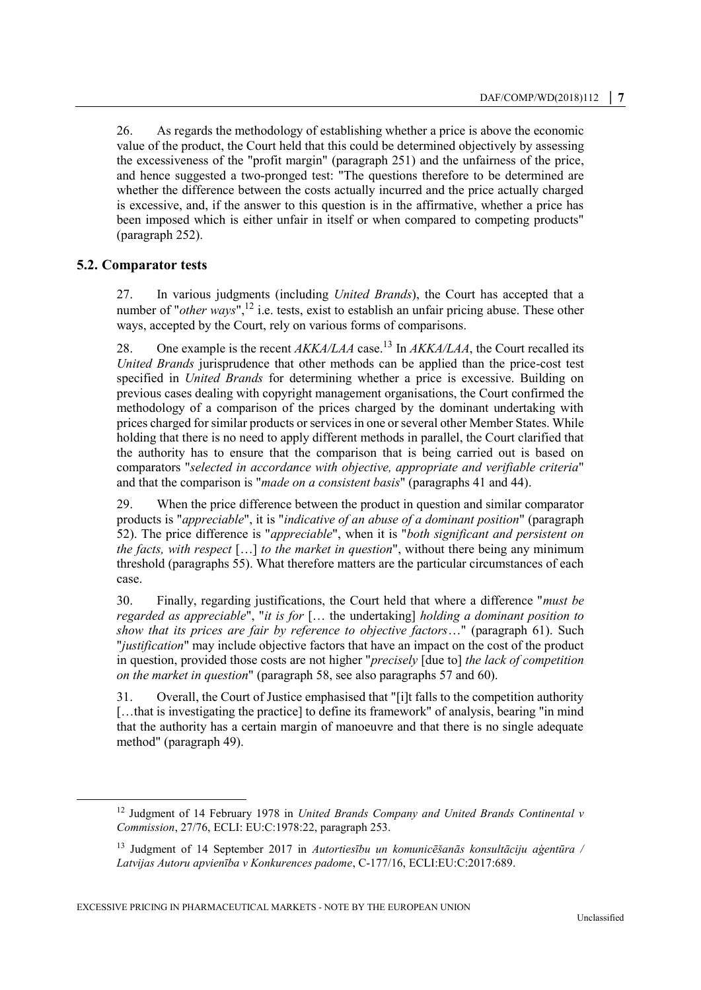26. As regards the methodology of establishing whether a price is above the economic value of the product, the Court held that this could be determined objectively by assessing the excessiveness of the "profit margin" (paragraph 251) and the unfairness of the price, and hence suggested a two-pronged test: "The questions therefore to be determined are whether the difference between the costs actually incurred and the price actually charged is excessive, and, if the answer to this question is in the affirmative, whether a price has been imposed which is either unfair in itself or when compared to competing products" (paragraph 252).

# **5.2. Comparator tests**

 $\overline{a}$ 

27. In various judgments (including *United Brands*), the Court has accepted that a number of "*other ways*",<sup>12</sup> i.e. tests, exist to establish an unfair pricing abuse. These other ways, accepted by the Court, rely on various forms of comparisons.

28. One example is the recent *AKKA/LAA* case.<sup>13</sup> In *AKKA/LAA*, the Court recalled its *United Brands* jurisprudence that other methods can be applied than the price-cost test specified in *United Brands* for determining whether a price is excessive. Building on previous cases dealing with copyright management organisations, the Court confirmed the methodology of a comparison of the prices charged by the dominant undertaking with prices charged for similar products or services in one or several other Member States. While holding that there is no need to apply different methods in parallel, the Court clarified that the authority has to ensure that the comparison that is being carried out is based on comparators "*selected in accordance with objective, appropriate and verifiable criteria*" and that the comparison is "*made on a consistent basis*" (paragraphs 41 and 44).

29. When the price difference between the product in question and similar comparator products is "*appreciable*", it is "*indicative of an abuse of a dominant position*" (paragraph 52). The price difference is "*appreciable*", when it is "*both significant and persistent on the facts, with respect* […] *to the market in question*", without there being any minimum threshold (paragraphs 55). What therefore matters are the particular circumstances of each case.

30. Finally, regarding justifications, the Court held that where a difference "*must be regarded as appreciable*", "*it is for* [… the undertaking] *holding a dominant position to show that its prices are fair by reference to objective factors*…" (paragraph 61). Such "*justification*" may include objective factors that have an impact on the cost of the product in question, provided those costs are not higher "*precisely* [due to] *the lack of competition on the market in question*" (paragraph 58, see also paragraphs 57 and 60).

31. Overall, the Court of Justice emphasised that "[i]t falls to the competition authority [...that is investigating the practice] to define its framework" of analysis, bearing "in mind" that the authority has a certain margin of manoeuvre and that there is no single adequate method" (paragraph 49).

<sup>12</sup> Judgment of 14 February 1978 in *United Brands Company and United Brands Continental v Commission*, 27/76, ECLI: EU:C:1978:22, paragraph 253.

<sup>13</sup> Judgment of 14 September 2017 in *Autortiesību un komunicēšanās konsultāciju aģentūra / Latvijas Autoru apvienība v Konkurences padome*, C-177/16, ECLI:EU:C:2017:689.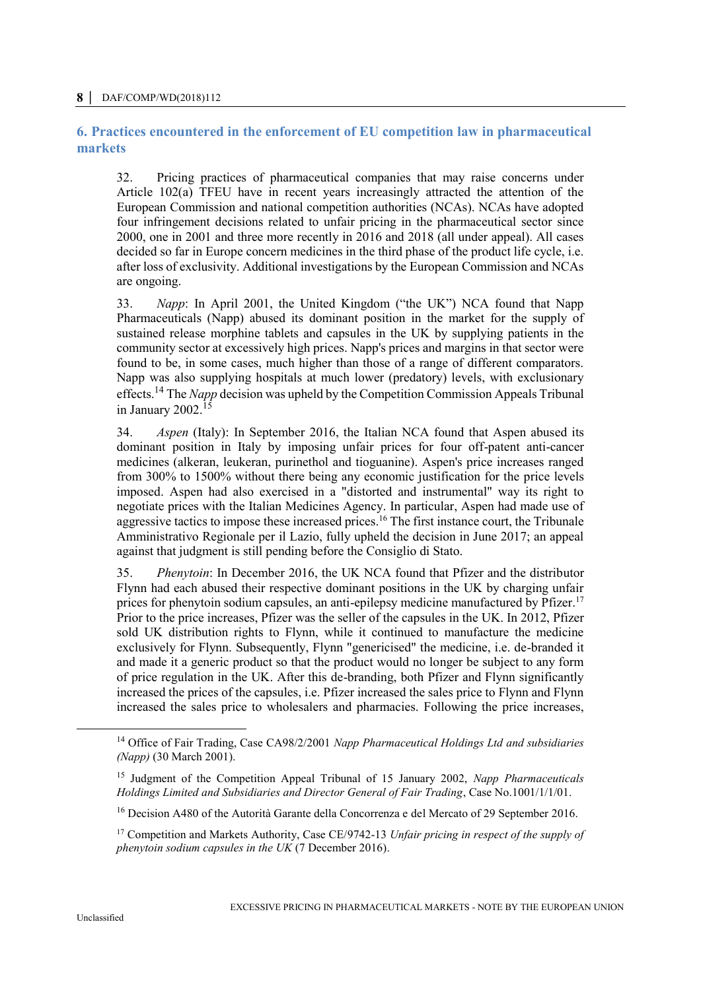#### **8 │** DAF/COMP/WD(2018)112

## **6. Practices encountered in the enforcement of EU competition law in pharmaceutical markets**

32. Pricing practices of pharmaceutical companies that may raise concerns under Article 102(a) TFEU have in recent years increasingly attracted the attention of the European Commission and national competition authorities (NCAs). NCAs have adopted four infringement decisions related to unfair pricing in the pharmaceutical sector since 2000, one in 2001 and three more recently in 2016 and 2018 (all under appeal). All cases decided so far in Europe concern medicines in the third phase of the product life cycle, i.e. after loss of exclusivity. Additional investigations by the European Commission and NCAs are ongoing.

33. *Napp*: In April 2001, the United Kingdom ("the UK") NCA found that Napp Pharmaceuticals (Napp) abused its dominant position in the market for the supply of sustained release morphine tablets and capsules in the UK by supplying patients in the community sector at excessively high prices. Napp's prices and margins in that sector were found to be, in some cases, much higher than those of a range of different comparators. Napp was also supplying hospitals at much lower (predatory) levels, with exclusionary effects.<sup>14</sup> The *Napp* decision was upheld by the Competition Commission Appeals Tribunal in January 2002. $15$ 

34. *Aspen* (Italy): In September 2016, the Italian NCA found that Aspen abused its dominant position in Italy by imposing unfair prices for four off-patent anti-cancer medicines (alkeran, leukeran, purinethol and tioguanine). Aspen's price increases ranged from 300% to 1500% without there being any economic justification for the price levels imposed. Aspen had also exercised in a "distorted and instrumental" way its right to negotiate prices with the Italian Medicines Agency. In particular, Aspen had made use of aggressive tactics to impose these increased prices.<sup>16</sup> The first instance court, the Tribunale Amministrativo Regionale per il Lazio, fully upheld the decision in June 2017; an appeal against that judgment is still pending before the Consiglio di Stato.

35. *Phenytoin*: In December 2016, the UK NCA found that Pfizer and the distributor Flynn had each abused their respective dominant positions in the UK by charging unfair prices for phenytoin sodium capsules, an anti-epilepsy medicine manufactured by Pfizer.<sup>17</sup> Prior to the price increases, Pfizer was the seller of the capsules in the UK. In 2012, Pfizer sold UK distribution rights to Flynn, while it continued to manufacture the medicine exclusively for Flynn. Subsequently, Flynn "genericised" the medicine, i.e. de-branded it and made it a generic product so that the product would no longer be subject to any form of price regulation in the UK. After this de-branding, both Pfizer and Flynn significantly increased the prices of the capsules, i.e. Pfizer increased the sales price to Flynn and Flynn increased the sales price to wholesalers and pharmacies. Following the price increases,

<sup>14</sup> Office of Fair Trading, Case CA98/2/2001 *Napp Pharmaceutical Holdings Ltd and subsidiaries (Napp)* (30 March 2001).

<sup>15</sup> Judgment of the Competition Appeal Tribunal of 15 January 2002, *Napp Pharmaceuticals Holdings Limited and Subsidiaries and Director General of Fair Trading*, Case No.1001/1/1/01.

<sup>&</sup>lt;sup>16</sup> Decision A480 of the Autorità Garante della Concorrenza e del Mercato of 29 September 2016.

<sup>17</sup> Competition and Markets Authority, Case CE/9742-13 *Unfair pricing in respect of the supply of phenytoin sodium capsules in the UK* (7 December 2016).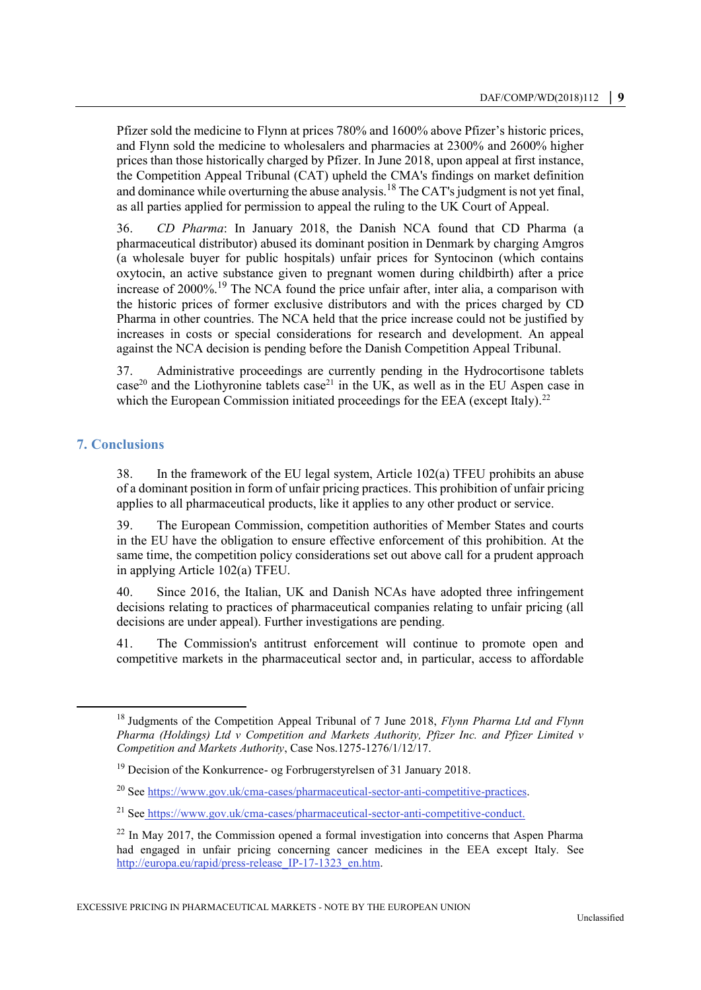Pfizer sold the medicine to Flynn at prices 780% and 1600% above Pfizer's historic prices, and Flynn sold the medicine to wholesalers and pharmacies at 2300% and 2600% higher prices than those historically charged by Pfizer. In June 2018, upon appeal at first instance, the Competition Appeal Tribunal (CAT) upheld the CMA's findings on market definition and dominance while overturning the abuse analysis.<sup>18</sup> The CAT's judgment is not yet final, as all parties applied for permission to appeal the ruling to the UK Court of Appeal.

36. *CD Pharma*: In January 2018, the Danish NCA found that CD Pharma (a pharmaceutical distributor) abused its dominant position in Denmark by charging Amgros (a wholesale buyer for public hospitals) unfair prices for Syntocinon (which contains oxytocin, an active substance given to pregnant women during childbirth) after a price increase of  $2000\%$ .<sup>19</sup> The NCA found the price unfair after, inter alia, a comparison with the historic prices of former exclusive distributors and with the prices charged by CD Pharma in other countries. The NCA held that the price increase could not be justified by increases in costs or special considerations for research and development. An appeal against the NCA decision is pending before the Danish Competition Appeal Tribunal.

37. Administrative proceedings are currently pending in the Hydrocortisone tablets  $case<sup>20</sup>$  and the Liothyronine tablets  $case<sup>21</sup>$  in the UK, as well as in the EU Aspen case in which the European Commission initiated proceedings for the EEA (except Italy).<sup>22</sup>

# **7. Conclusions**

38. In the framework of the EU legal system, Article 102(a) TFEU prohibits an abuse of a dominant position in form of unfair pricing practices. This prohibition of unfair pricing applies to all pharmaceutical products, like it applies to any other product or service.

39. The European Commission, competition authorities of Member States and courts in the EU have the obligation to ensure effective enforcement of this prohibition. At the same time, the competition policy considerations set out above call for a prudent approach in applying Article 102(a) TFEU.

40. Since 2016, the Italian, UK and Danish NCAs have adopted three infringement decisions relating to practices of pharmaceutical companies relating to unfair pricing (all decisions are under appeal). Further investigations are pending.

41. The Commission's antitrust enforcement will continue to promote open and competitive markets in the pharmaceutical sector and, in particular, access to affordable

<sup>18</sup> Judgments of the Competition Appeal Tribunal of 7 June 2018, *Flynn Pharma Ltd and Flynn Pharma (Holdings) Ltd v Competition and Markets Authority, Pfizer Inc. and Pfizer Limited v Competition and Markets Authority*, Case Nos.1275-1276/1/12/17.

<sup>19</sup> Decision of the Konkurrence- og Forbrugerstyrelsen of 31 January 2018.

<sup>20</sup> Se[e https://www.gov.uk/cma-cases/pharmaceutical-sector-anti-competitive-practices.](https://www.gov.uk/cma-cases/pharmaceutical-sector-anti-competitive-practices)

<sup>21</sup> See https://www.gov.uk/cma-cases/pharmaceutical-sector-anti-competitive-conduct.

 $22$  In May 2017, the Commission opened a formal investigation into concerns that Aspen Pharma had engaged in unfair pricing concerning cancer medicines in the EEA except Italy. See http://europa.eu/rapid/press-release IP-17-1323 en.htm.